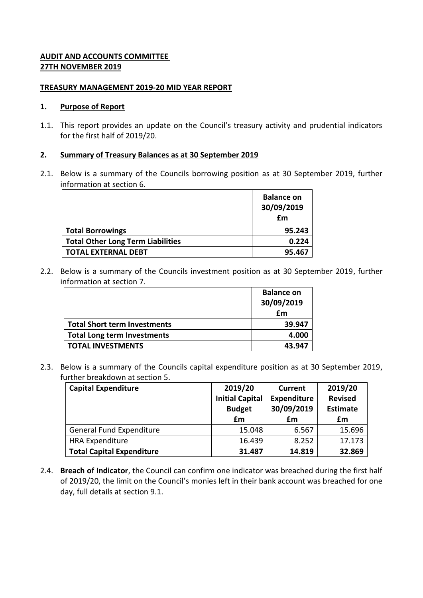# **AUDIT AND ACCOUNTS COMMITTEE 27TH NOVEMBER 2019**

#### **TREASURY MANAGEMENT 2019-20 MID YEAR REPORT**

#### **1. Purpose of Report**

1.1. This report provides an update on the Council's treasury activity and prudential indicators for the first half of 2019/20.

### **2. Summary of Treasury Balances as at 30 September 2019**

2.1. Below is a summary of the Councils borrowing position as at 30 September 2019, further information at section 6.

|                                          | <b>Balance on</b><br>30/09/2019<br>$\mathbf{f}$ |
|------------------------------------------|-------------------------------------------------|
| <b>Total Borrowings</b>                  | 95.243                                          |
| <b>Total Other Long Term Liabilities</b> | 0.224                                           |
| <b>TOTAL EXTERNAL DEBT</b>               | 95.467                                          |

2.2. Below is a summary of the Councils investment position as at 30 September 2019, further information at section 7.

|                                     | <b>Balance on</b><br>30/09/2019 |
|-------------------------------------|---------------------------------|
|                                     | £m                              |
| <b>Total Short term Investments</b> | 39.947                          |
| <b>Total Long term Investments</b>  | 4.000                           |
| <b>TOTAL INVESTMENTS</b>            | 43.947                          |

2.3. Below is a summary of the Councils capital expenditure position as at 30 September 2019, further breakdown at section 5.

| <b>Capital Expenditure</b>       | 2019/20                | Current            | 2019/20         |
|----------------------------------|------------------------|--------------------|-----------------|
|                                  | <b>Initial Capital</b> | <b>Expenditure</b> | <b>Revised</b>  |
|                                  | <b>Budget</b>          | 30/09/2019         | <b>Estimate</b> |
|                                  | £m                     | £m                 | £m              |
| <b>General Fund Expenditure</b>  | 15.048                 | 6.567              | 15.696          |
| <b>HRA Expenditure</b>           | 16.439                 | 8.252              | 17.173          |
| <b>Total Capital Expenditure</b> | 31.487                 | 14.819             | 32.869          |

2.4. **Breach of Indicator**, the Council can confirm one indicator was breached during the first half of 2019/20, the limit on the Council's monies left in their bank account was breached for one day, full details at section 9.1.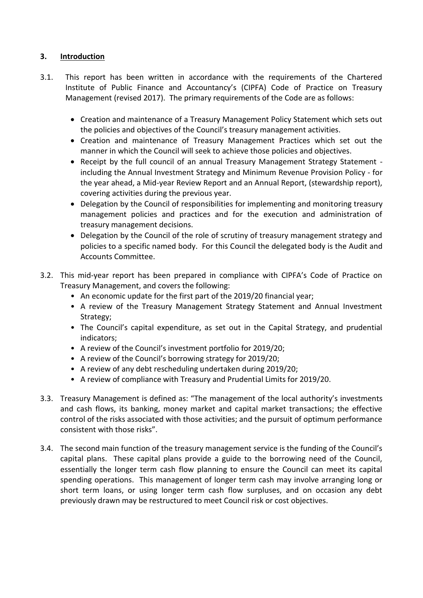# **3. Introduction**

- 3.1. This report has been written in accordance with the requirements of the Chartered Institute of Public Finance and Accountancy's (CIPFA) Code of Practice on Treasury Management (revised 2017). The primary requirements of the Code are as follows:
	- Creation and maintenance of a Treasury Management Policy Statement which sets out the policies and objectives of the Council's treasury management activities.
	- Creation and maintenance of Treasury Management Practices which set out the manner in which the Council will seek to achieve those policies and objectives.
	- Receipt by the full council of an annual Treasury Management Strategy Statement including the Annual Investment Strategy and Minimum Revenue Provision Policy - for the year ahead, a Mid-year Review Report and an Annual Report, (stewardship report), covering activities during the previous year.
	- Delegation by the Council of responsibilities for implementing and monitoring treasury management policies and practices and for the execution and administration of treasury management decisions.
	- Delegation by the Council of the role of scrutiny of treasury management strategy and policies to a specific named body. For this Council the delegated body is the Audit and Accounts Committee.
- 3.2. This mid-year report has been prepared in compliance with CIPFA's Code of Practice on Treasury Management, and covers the following:
	- An economic update for the first part of the 2019/20 financial year;
	- A review of the Treasury Management Strategy Statement and Annual Investment Strategy;
	- The Council's capital expenditure, as set out in the Capital Strategy, and prudential indicators;
	- A review of the Council's investment portfolio for 2019/20;
	- A review of the Council's borrowing strategy for 2019/20;
	- A review of any debt rescheduling undertaken during 2019/20;
	- A review of compliance with Treasury and Prudential Limits for 2019/20.
- 3.3. Treasury Management is defined as: "The management of the local authority's investments and cash flows, its banking, money market and capital market transactions; the effective control of the risks associated with those activities; and the pursuit of optimum performance consistent with those risks".
- 3.4. The second main function of the treasury management service is the funding of the Council's capital plans. These capital plans provide a guide to the borrowing need of the Council, essentially the longer term cash flow planning to ensure the Council can meet its capital spending operations. This management of longer term cash may involve arranging long or short term loans, or using longer term cash flow surpluses, and on occasion any debt previously drawn may be restructured to meet Council risk or cost objectives.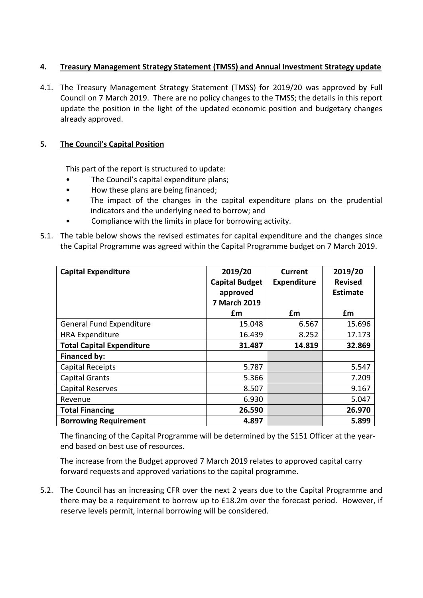# **4. Treasury Management Strategy Statement (TMSS) and Annual Investment Strategy update**

4.1. The Treasury Management Strategy Statement (TMSS) for 2019/20 was approved by Full Council on 7 March 2019. There are no policy changes to the TMSS; the details in this report update the position in the light of the updated economic position and budgetary changes already approved.

## **5. The Council's Capital Position**

This part of the report is structured to update:

- The Council's capital expenditure plans;
- How these plans are being financed;
- The impact of the changes in the capital expenditure plans on the prudential indicators and the underlying need to borrow; and
- Compliance with the limits in place for borrowing activity.
- 5.1. The table below shows the revised estimates for capital expenditure and the changes since the Capital Programme was agreed within the Capital Programme budget on 7 March 2019.

| <b>Capital Expenditure</b>       | 2019/20               | Current            | 2019/20         |
|----------------------------------|-----------------------|--------------------|-----------------|
|                                  | <b>Capital Budget</b> | <b>Expenditure</b> | <b>Revised</b>  |
|                                  | approved              |                    | <b>Estimate</b> |
|                                  | <b>7 March 2019</b>   |                    |                 |
|                                  | £m                    | £m                 | £m              |
| <b>General Fund Expenditure</b>  | 15.048                | 6.567              | 15.696          |
| <b>HRA Expenditure</b>           | 16.439                | 8.252              | 17.173          |
| <b>Total Capital Expenditure</b> | 31.487                | 14.819             | 32.869          |
| Financed by:                     |                       |                    |                 |
| <b>Capital Receipts</b>          | 5.787                 |                    | 5.547           |
| <b>Capital Grants</b>            | 5.366                 |                    | 7.209           |
| Capital Reserves                 | 8.507                 |                    | 9.167           |
| Revenue                          | 6.930                 |                    | 5.047           |
| <b>Total Financing</b>           | 26.590                |                    | 26.970          |
| <b>Borrowing Requirement</b>     | 4.897                 |                    | 5.899           |

The financing of the Capital Programme will be determined by the S151 Officer at the yearend based on best use of resources.

The increase from the Budget approved 7 March 2019 relates to approved capital carry forward requests and approved variations to the capital programme.

5.2. The Council has an increasing CFR over the next 2 years due to the Capital Programme and there may be a requirement to borrow up to £18.2m over the forecast period. However, if reserve levels permit, internal borrowing will be considered.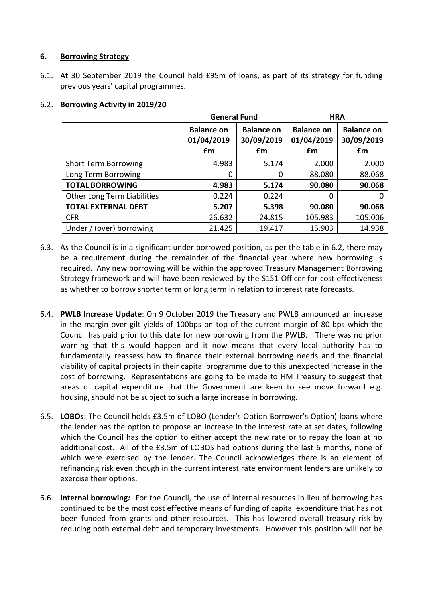## **6. Borrowing Strategy**

6.1. At 30 September 2019 the Council held £95m of loans, as part of its strategy for funding previous years' capital programmes.

|                                    | <b>General Fund</b>                   |                                       | <b>HRA</b>                            |                                       |
|------------------------------------|---------------------------------------|---------------------------------------|---------------------------------------|---------------------------------------|
|                                    | <b>Balance on</b><br>01/04/2019<br>£m | <b>Balance on</b><br>30/09/2019<br>£m | <b>Balance on</b><br>01/04/2019<br>£m | <b>Balance on</b><br>30/09/2019<br>£m |
| <b>Short Term Borrowing</b>        | 4.983                                 | 5.174                                 | 2.000                                 | 2.000                                 |
| Long Term Borrowing                | 0                                     | 0                                     | 88.080                                | 88.068                                |
| <b>TOTAL BORROWING</b>             | 4.983                                 | 5.174                                 | 90.080                                | 90.068                                |
| <b>Other Long Term Liabilities</b> | 0.224                                 | 0.224                                 | $\Omega$                              | 0                                     |
| <b>TOTAL EXTERNAL DEBT</b>         | 5.207                                 | 5.398                                 | 90.080                                | 90.068                                |
| <b>CFR</b>                         | 26.632                                | 24.815                                | 105.983                               | 105.006                               |
| Under / (over) borrowing           | 21.425                                | 19.417                                | 15.903                                | 14.938                                |

# 6.2. **Borrowing Activity in 2019/20**

- 6.3. As the Council is in a significant under borrowed position, as per the table in 6.2, there may be a requirement during the remainder of the financial year where new borrowing is required. Any new borrowing will be within the approved Treasury Management Borrowing Strategy framework and will have been reviewed by the S151 Officer for cost effectiveness as whether to borrow shorter term or long term in relation to interest rate forecasts.
- 6.4. **PWLB Increase Update**: On 9 October 2019 the Treasury and PWLB announced an increase in the margin over gilt yields of 100bps on top of the current margin of 80 bps which the Council has paid prior to this date for new borrowing from the PWLB. There was no prior warning that this would happen and it now means that every local authority has to fundamentally reassess how to finance their external borrowing needs and the financial viability of capital projects in their capital programme due to this unexpected increase in the cost of borrowing. Representations are going to be made to HM Treasury to suggest that areas of capital expenditure that the Government are keen to see move forward e.g. housing, should not be subject to such a large increase in borrowing.
- 6.5. **LOBOs**: The Council holds £3.5m of LOBO (Lender's Option Borrower's Option) loans where the lender has the option to propose an increase in the interest rate at set dates, following which the Council has the option to either accept the new rate or to repay the loan at no additional cost. All of the £3.5m of LOBOS had options during the last 6 months, none of which were exercised by the lender. The Council acknowledges there is an element of refinancing risk even though in the current interest rate environment lenders are unlikely to exercise their options.
- 6.6. **Internal borrowing***:* For the Council, the use of internal resources in lieu of borrowing has continued to be the most cost effective means of funding of capital expenditure that has not been funded from grants and other resources. This has lowered overall treasury risk by reducing both external debt and temporary investments. However this position will not be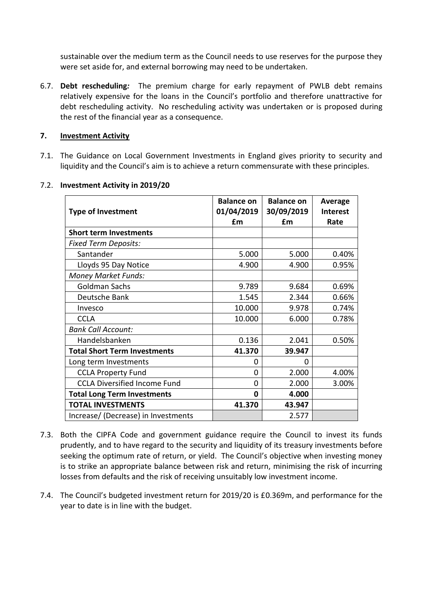sustainable over the medium term as the Council needs to use reserves for the purpose they were set aside for, and external borrowing may need to be undertaken.

6.7. **Debt rescheduling***:* The premium charge for early repayment of PWLB debt remains relatively expensive for the loans in the Council's portfolio and therefore unattractive for debt rescheduling activity. No rescheduling activity was undertaken or is proposed during the rest of the financial year as a consequence.

# **7. Investment Activity**

7.1. The Guidance on Local Government Investments in England gives priority to security and liquidity and the Council's aim is to achieve a return commensurate with these principles.

| <b>Type of Investment</b>           | <b>Balance on</b><br>01/04/2019 | <b>Balance on</b><br>30/09/2019 | <b>Average</b><br><b>Interest</b> |
|-------------------------------------|---------------------------------|---------------------------------|-----------------------------------|
|                                     | £m                              | £m                              | Rate                              |
| <b>Short term Investments</b>       |                                 |                                 |                                   |
| <b>Fixed Term Deposits:</b>         |                                 |                                 |                                   |
| Santander                           | 5.000                           | 5.000                           | 0.40%                             |
| Lloyds 95 Day Notice                | 4.900                           | 4.900                           | 0.95%                             |
| <b>Money Market Funds:</b>          |                                 |                                 |                                   |
| <b>Goldman Sachs</b>                | 9.789                           | 9.684                           | 0.69%                             |
| Deutsche Bank                       | 1.545                           | 2.344                           | 0.66%                             |
| Invesco                             | 10.000                          | 9.978                           | 0.74%                             |
| <b>CCLA</b>                         | 10.000                          | 6.000                           | 0.78%                             |
| <b>Bank Call Account:</b>           |                                 |                                 |                                   |
| Handelsbanken                       | 0.136                           | 2.041                           | 0.50%                             |
| <b>Total Short Term Investments</b> | 41.370                          | 39.947                          |                                   |
| Long term Investments               | 0                               | O                               |                                   |
| <b>CCLA Property Fund</b>           | 0                               | 2.000                           | 4.00%                             |
| <b>CCLA Diversified Income Fund</b> | 0                               | 2.000                           | 3.00%                             |
| <b>Total Long Term Investments</b>  | $\mathbf 0$                     | 4.000                           |                                   |
| <b>TOTAL INVESTMENTS</b>            | 41.370                          | 43.947                          |                                   |
| Increase/ (Decrease) in Investments |                                 | 2.577                           |                                   |

## 7.2. **Investment Activity in 2019/20**

- 7.3. Both the CIPFA Code and government guidance require the Council to invest its funds prudently, and to have regard to the security and liquidity of its treasury investments before seeking the optimum rate of return, or yield. The Council's objective when investing money is to strike an appropriate balance between risk and return, minimising the risk of incurring losses from defaults and the risk of receiving unsuitably low investment income.
- 7.4. The Council's budgeted investment return for 2019/20 is £0.369m, and performance for the year to date is in line with the budget.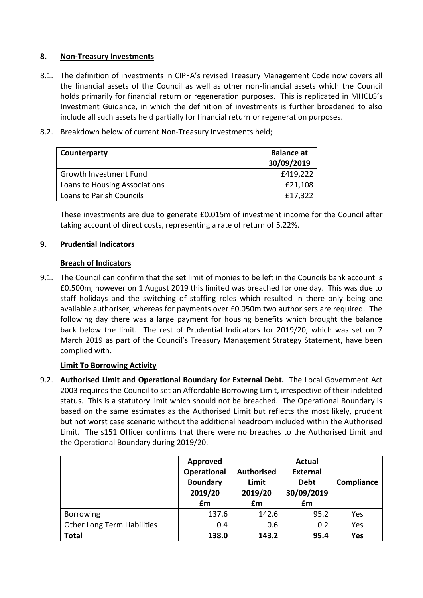## **8. Non-Treasury Investments**

- 8.1. The definition of investments in CIPFA's revised Treasury Management Code now covers all the financial assets of the Council as well as other non-financial assets which the Council holds primarily for financial return or regeneration purposes. This is replicated in MHCLG's Investment Guidance, in which the definition of investments is further broadened to also include all such assets held partially for financial return or regeneration purposes.
- 8.2. Breakdown below of current Non-Treasury Investments held;

| Counterparty                  | <b>Balance at</b><br>30/09/2019 |
|-------------------------------|---------------------------------|
| Growth Investment Fund        | £419,222                        |
| Loans to Housing Associations | £21,108                         |
| Loans to Parish Councils      | £17,322                         |

These investments are due to generate £0.015m of investment income for the Council after taking account of direct costs, representing a rate of return of 5.22%.

# **9. Prudential Indicators**

## **Breach of Indicators**

9.1. The Council can confirm that the set limit of monies to be left in the Councils bank account is £0.500m, however on 1 August 2019 this limited was breached for one day. This was due to staff holidays and the switching of staffing roles which resulted in there only being one available authoriser, whereas for payments over £0.050m two authorisers are required. The following day there was a large payment for housing benefits which brought the balance back below the limit. The rest of Prudential Indicators for 2019/20, which was set on 7 March 2019 as part of the Council's Treasury Management Strategy Statement, have been complied with.

# **Limit To Borrowing Activity**

9.2. **Authorised Limit and Operational Boundary for External Debt.** The Local Government Act 2003 requires the Council to set an Affordable Borrowing Limit, irrespective of their indebted status. This is a statutory limit which should not be breached. The Operational Boundary is based on the same estimates as the Authorised Limit but reflects the most likely, prudent but not worst case scenario without the additional headroom included within the Authorised Limit. The s151 Officer confirms that there were no breaches to the Authorised Limit and the Operational Boundary during 2019/20.

|                             | Approved<br>Operational<br><b>Boundary</b><br>2019/20<br>£m | <b>Authorised</b><br>Limit<br>2019/20<br>£m | <b>Actual</b><br><b>External</b><br><b>Debt</b><br>30/09/2019<br>£m | Compliance |
|-----------------------------|-------------------------------------------------------------|---------------------------------------------|---------------------------------------------------------------------|------------|
| Borrowing                   | 137.6                                                       | 142.6                                       | 95.2                                                                | Yes        |
| Other Long Term Liabilities | 0.4                                                         | 0.6                                         | 0.2                                                                 | Yes        |
| <b>Total</b>                | 138.0                                                       | 143.2                                       | 95.4                                                                | <b>Yes</b> |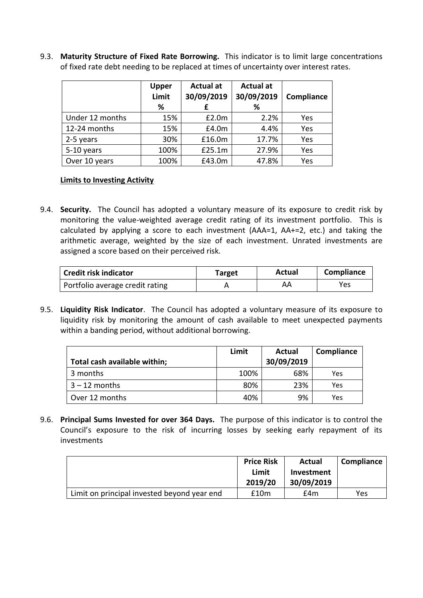9.3. **Maturity Structure of Fixed Rate Borrowing.** This indicator is to limit large concentrations of fixed rate debt needing to be replaced at times of uncertainty over interest rates.

|                 | <b>Upper</b><br>Limit<br>% | <b>Actual at</b><br>30/09/2019 | <b>Actual at</b><br>30/09/2019<br>℅ | Compliance |
|-----------------|----------------------------|--------------------------------|-------------------------------------|------------|
| Under 12 months | 15%                        | £2.0m                          | 2.2%                                | Yes        |
| 12-24 months    | 15%                        | £4.0m                          | 4.4%                                | Yes        |
| 2-5 years       | 30%                        | £16.0m                         | 17.7%                               | Yes        |
| 5-10 years      | 100%                       | £25.1m                         | 27.9%                               | Yes        |
| Over 10 years   | 100%                       | £43.0m                         | 47.8%                               | Yes        |

## **Limits to Investing Activity**

9.4. **Security.** The Council has adopted a voluntary measure of its exposure to credit risk by monitoring the value-weighted average credit rating of its investment portfolio. This is calculated by applying a score to each investment (AAA=1, AA+=2, etc.) and taking the arithmetic average, weighted by the size of each investment. Unrated investments are assigned a score based on their perceived risk.

| <b>Credit risk indicator</b>    | Target | Actual | Compliance |
|---------------------------------|--------|--------|------------|
| Portfolio average credit rating |        | AA     | Yes        |

9.5. **Liquidity Risk Indicator**. The Council has adopted a voluntary measure of its exposure to liquidity risk by monitoring the amount of cash available to meet unexpected payments within a banding period, without additional borrowing.

|                              | Limit | Actual     | Compliance |
|------------------------------|-------|------------|------------|
| Total cash available within; |       | 30/09/2019 |            |
| 3 months                     | 100%  | 68%        | Yes        |
| $3 - 12$ months              | 80%   | 23%        | Yes        |
| Over 12 months               | 40%   | 9%         | Yes        |

9.6. **Principal Sums Invested for over 364 Days.** The purpose of this indicator is to control the Council's exposure to the risk of incurring losses by seeking early repayment of its investments

|                                             | <b>Price Risk</b><br>Limit<br>2019/20 | Actual<br>Investment<br>30/09/2019 | Compliance |
|---------------------------------------------|---------------------------------------|------------------------------------|------------|
| Limit on principal invested beyond year end | £10m                                  | £4m                                | Yes        |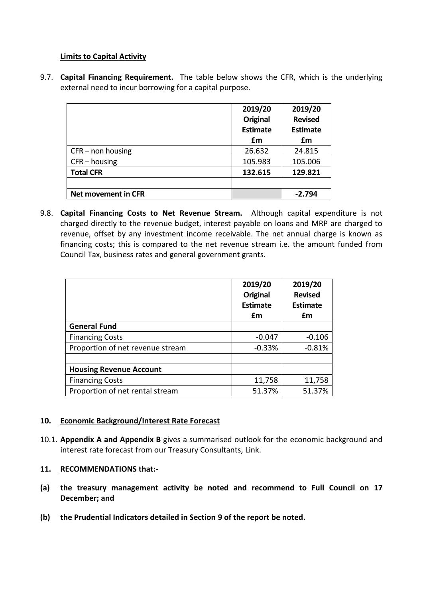## **Limits to Capital Activity**

9.7. **Capital Financing Requirement.** The table below shows the CFR, which is the underlying external need to incur borrowing for a capital purpose.

|                     | 2019/20<br><b>Original</b><br><b>Estimate</b> | 2019/20<br><b>Revised</b><br><b>Estimate</b> |
|---------------------|-----------------------------------------------|----------------------------------------------|
|                     | £m                                            | £m                                           |
| $CFR$ – non housing | 26.632                                        | 24.815                                       |
| $CFR - housing$     | 105.983                                       | 105.006                                      |
| <b>Total CFR</b>    | 132.615                                       | 129.821                                      |
|                     |                                               |                                              |
| Net movement in CFR |                                               | $-2.794$                                     |

9.8. **Capital Financing Costs to Net Revenue Stream.** Although capital expenditure is not charged directly to the revenue budget, interest payable on loans and MRP are charged to revenue, offset by any investment income receivable. The net annual charge is known as financing costs; this is compared to the net revenue stream i.e. the amount funded from Council Tax, business rates and general government grants.

|                                  | 2019/20<br><b>Original</b><br><b>Estimate</b><br>£m | 2019/20<br><b>Revised</b><br><b>Estimate</b><br>£m |
|----------------------------------|-----------------------------------------------------|----------------------------------------------------|
| <b>General Fund</b>              |                                                     |                                                    |
| <b>Financing Costs</b>           | $-0.047$                                            | $-0.106$                                           |
| Proportion of net revenue stream | $-0.33%$                                            | $-0.81%$                                           |
|                                  |                                                     |                                                    |
| <b>Housing Revenue Account</b>   |                                                     |                                                    |
| <b>Financing Costs</b>           | 11,758                                              | 11,758                                             |
| Proportion of net rental stream  | 51.37%                                              | 51.37%                                             |

### **10. Economic Background/Interest Rate Forecast**

10.1. **Appendix A and Appendix B** gives a summarised outlook for the economic background and interest rate forecast from our Treasury Consultants, Link.

# **11. RECOMMENDATIONS that:-**

- **(a) the treasury management activity be noted and recommend to Full Council on 17 December; and**
- **(b) the Prudential Indicators detailed in Section 9 of the report be noted.**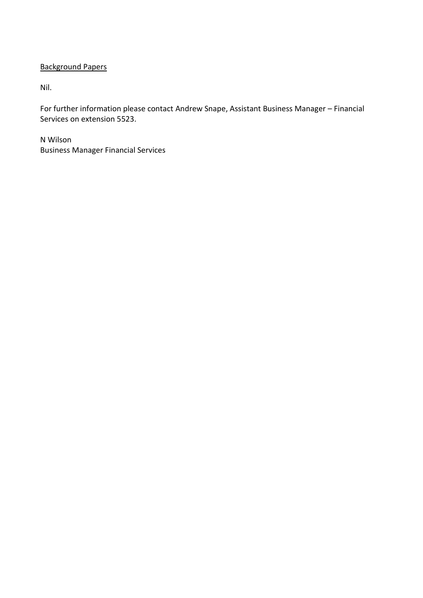# Background Papers

Nil.

For further information please contact Andrew Snape, Assistant Business Manager – Financial Services on extension 5523.

N Wilson Business Manager Financial Services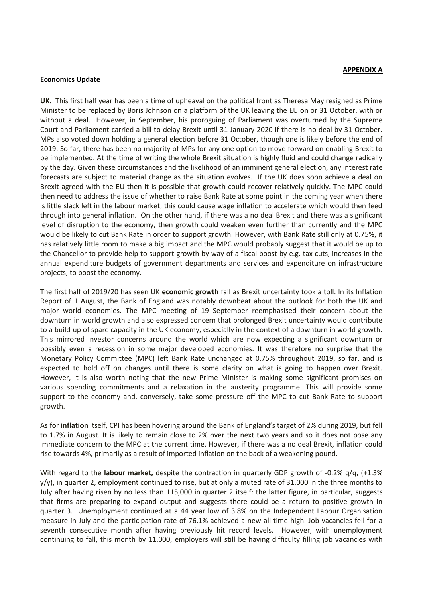#### **Economics Update**

**UK.** This first half year has been a time of upheaval on the political front as Theresa May resigned as Prime Minister to be replaced by Boris Johnson on a platform of the UK leaving the EU on or 31 October, with or without a deal. However, in September, his proroguing of Parliament was overturned by the Supreme Court and Parliament carried a bill to delay Brexit until 31 January 2020 if there is no deal by 31 October. MPs also voted down holding a general election before 31 October, though one is likely before the end of 2019. So far, there has been no majority of MPs for any one option to move forward on enabling Brexit to be implemented. At the time of writing the whole Brexit situation is highly fluid and could change radically by the day. Given these circumstances and the likelihood of an imminent general election, any interest rate forecasts are subject to material change as the situation evolves. If the UK does soon achieve a deal on Brexit agreed with the EU then it is possible that growth could recover relatively quickly. The MPC could then need to address the issue of whether to raise Bank Rate at some point in the coming year when there is little slack left in the labour market; this could cause wage inflation to accelerate which would then feed through into general inflation. On the other hand, if there was a no deal Brexit and there was a significant level of disruption to the economy, then growth could weaken even further than currently and the MPC would be likely to cut Bank Rate in order to support growth. However, with Bank Rate still only at 0.75%, it has relatively little room to make a big impact and the MPC would probably suggest that it would be up to the Chancellor to provide help to support growth by way of a fiscal boost by e.g. tax cuts, increases in the annual expenditure budgets of government departments and services and expenditure on infrastructure projects, to boost the economy.

The first half of 2019/20 has seen UK **economic growth** fall as Brexit uncertainty took a toll. In its Inflation Report of 1 August, the Bank of England was notably downbeat about the outlook for both the UK and major world economies. The MPC meeting of 19 September reemphasised their concern about the downturn in world growth and also expressed concern that prolonged Brexit uncertainty would contribute to a build-up of spare capacity in the UK economy, especially in the context of a downturn in world growth. This mirrored investor concerns around the world which are now expecting a significant downturn or possibly even a recession in some major developed economies. It was therefore no surprise that the Monetary Policy Committee (MPC) left Bank Rate unchanged at 0.75% throughout 2019, so far, and is expected to hold off on changes until there is some clarity on what is going to happen over Brexit. However, it is also worth noting that the new Prime Minister is making some significant promises on various spending commitments and a relaxation in the austerity programme. This will provide some support to the economy and, conversely, take some pressure off the MPC to cut Bank Rate to support growth.

As for **inflation** itself, CPI has been hovering around the Bank of England's target of 2% during 2019, but fell to 1.7% in August. It is likely to remain close to 2% over the next two years and so it does not pose any immediate concern to the MPC at the current time. However, if there was a no deal Brexit, inflation could rise towards 4%, primarily as a result of imported inflation on the back of a weakening pound.

With regard to the **labour market,** despite the contraction in quarterly GDP growth of -0.2% q/q, (+1.3%)  $y/y$ , in quarter 2, employment continued to rise, but at only a muted rate of 31,000 in the three months to July after having risen by no less than 115,000 in quarter 2 itself: the latter figure, in particular, suggests that firms are preparing to expand output and suggests there could be a return to positive growth in quarter 3.Unemployment continued at a 44 year low of 3.8% on the Independent Labour Organisation measure in July and the participation rate of 76.1% achieved a new all-time high. Job vacancies fell for a seventh consecutive month after having previously hit record levels. However, with unemployment continuing to fall, this month by 11,000, employers will still be having difficulty filling job vacancies with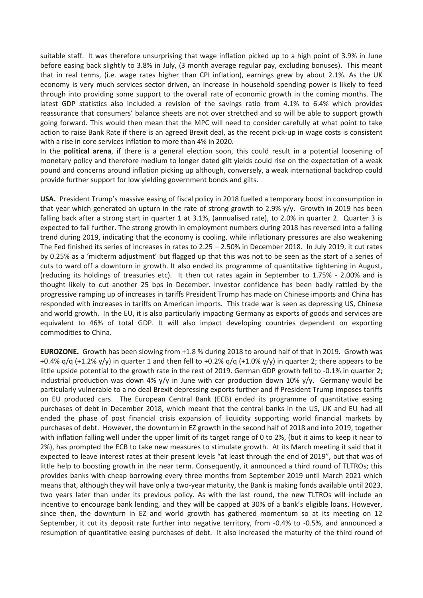suitable staff. It was therefore unsurprising that wage inflation picked up to a high point of 3.9% in June before easing back slightly to 3.8% in July, (3 month average regular pay, excluding bonuses). This meant that in real terms, (i.e. wage rates higher than CPI inflation), earnings grew by about 2.1%. As the UK economy is very much services sector driven, an increase in household spending power is likely to feed through into providing some support to the overall rate of economic growth in the coming months. The latest GDP statistics also included a revision of the savings ratio from 4.1% to 6.4% which provides reassurance that consumers' balance sheets are not over stretched and so will be able to support growth going forward. This would then mean that the MPC will need to consider carefully at what point to take action to raise Bank Rate if there is an agreed Brexit deal, as the recent pick-up in wage costs is consistent with a rise in core services inflation to more than 4% in 2020.

In the **political arena**, if there is a general election soon, this could result in a potential loosening of monetary policy and therefore medium to longer dated gilt yields could rise on the expectation of a weak pound and concerns around inflation picking up although, conversely, a weak international backdrop could provide further support for low yielding government bonds and gilts.

**USA.** President Trump's massive easing of fiscal policy in 2018 fuelled a temporary boost in consumption in that year which generated an upturn in the rate of strong growth to 2.9% y/y. Growth in 2019 has been falling back after a strong start in quarter 1 at 3.1%, (annualised rate), to 2.0% in quarter 2. Quarter 3 is expected to fall further. The strong growth in employment numbers during 2018 has reversed into a falling trend during 2019, indicating that the economy is cooling, while inflationary pressures are also weakening The Fed finished its series of increases in rates to 2.25 – 2.50% in December 2018. In July 2019, it cut rates by 0.25% as a 'midterm adjustment' but flagged up that this was not to be seen as the start of a series of cuts to ward off a downturn in growth. It also ended its programme of quantitative tightening in August, (reducing its holdings of treasuries etc). It then cut rates again in September to 1.75% - 2.00% and is thought likely to cut another 25 bps in December. Investor confidence has been badly rattled by the progressive ramping up of increases in tariffs President Trump has made on Chinese imports and China has responded with increases in tariffs on American imports. This trade war is seen as depressing US, Chinese and world growth. In the EU, it is also particularly impacting Germany as exports of goods and services are equivalent to 46% of total GDP. It will also impact developing countries dependent on exporting commodities to China.

**EUROZONE.** Growth has been slowing from +1.8 % during 2018 to around half of that in 2019. Growth was +0.4%  $q/q$  (+1.2% y/y) in quarter 1 and then fell to +0.2%  $q/q$  (+1.0% y/y) in quarter 2; there appears to be little upside potential to the growth rate in the rest of 2019. German GDP growth fell to -0.1% in quarter 2; industrial production was down 4%  $y/y$  in June with car production down 10%  $y/y$ . Germany would be particularly vulnerable to a no deal Brexit depressing exports further and if President Trump imposes tariffs on EU produced cars. The European Central Bank (ECB) ended its programme of quantitative easing purchases of debt in December 2018, which meant that the central banks in the US, UK and EU had all ended the phase of post financial crisis expansion of liquidity supporting world financial markets by purchases of debt. However, the downturn in EZ growth in the second half of 2018 and into 2019, together with inflation falling well under the upper limit of its target range of 0 to 2%, (but it aims to keep it near to 2%), has prompted the ECB to take new measures to stimulate growth. At its March meeting it said that it expected to leave interest rates at their present levels "at least through the end of 2019", but that was of little help to boosting growth in the near term. Consequently, it announced a third round of TLTROs; this provides banks with cheap borrowing every three months from September 2019 until March 2021 which means that, although they will have only a two-year maturity, the Bank is making funds available until 2023, two years later than under its previous policy. As with the last round, the new TLTROs will include an incentive to encourage bank lending, and they will be capped at 30% of a bank's eligible loans. However, since then, the downturn in EZ and world growth has gathered momentum so at its meeting on 12 September, it cut its deposit rate further into negative territory, from -0.4% to -0.5%, and announced a resumption of quantitative easing purchases of debt. It also increased the maturity of the third round of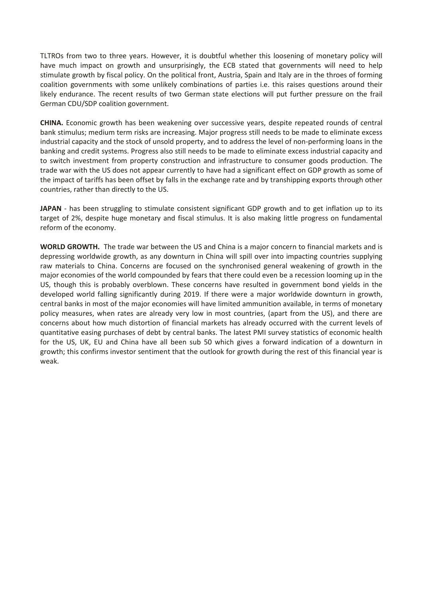TLTROs from two to three years. However, it is doubtful whether this loosening of monetary policy will have much impact on growth and unsurprisingly, the ECB stated that governments will need to help stimulate growth by fiscal policy. On the political front, Austria, Spain and Italy are in the throes of forming coalition governments with some unlikely combinations of parties i.e. this raises questions around their likely endurance. The recent results of two German state elections will put further pressure on the frail German CDU/SDP coalition government.

**CHINA.** Economic growth has been weakening over successive years, despite repeated rounds of central bank stimulus; medium term risks are increasing. Major progress still needs to be made to eliminate excess industrial capacity and the stock of unsold property, and to address the level of non-performing loans in the banking and credit systems. Progress also still needs to be made to eliminate excess industrial capacity and to switch investment from property construction and infrastructure to consumer goods production. The trade war with the US does not appear currently to have had a significant effect on GDP growth as some of the impact of tariffs has been offset by falls in the exchange rate and by transhipping exports through other countries, rather than directly to the US.

**JAPAN** - has been struggling to stimulate consistent significant GDP growth and to get inflation up to its target of 2%, despite huge monetary and fiscal stimulus. It is also making little progress on fundamental reform of the economy.

**WORLD GROWTH.** The trade war between the US and China is a major concern to financial markets and is depressing worldwide growth, as any downturn in China will spill over into impacting countries supplying raw materials to China. Concerns are focused on the synchronised general weakening of growth in the major economies of the world compounded by fears that there could even be a recession looming up in the US, though this is probably overblown. These concerns have resulted in government bond yields in the developed world falling significantly during 2019. If there were a major worldwide downturn in growth, central banks in most of the major economies will have limited ammunition available, in terms of monetary policy measures, when rates are already very low in most countries, (apart from the US), and there are concerns about how much distortion of financial markets has already occurred with the current levels of quantitative easing purchases of debt by central banks. The latest PMI survey statistics of economic health for the US, UK, EU and China have all been sub 50 which gives a forward indication of a downturn in growth; this confirms investor sentiment that the outlook for growth during the rest of this financial year is weak.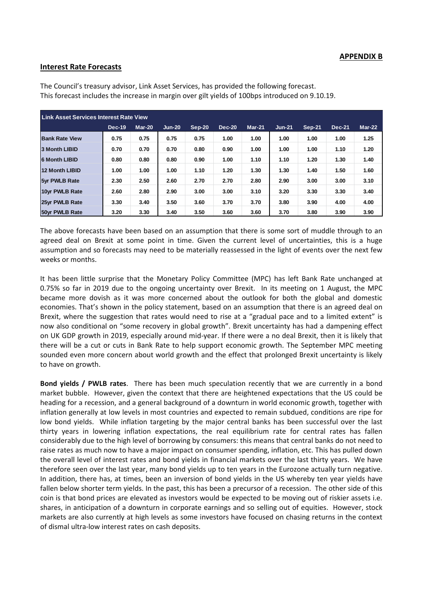#### **APPENDIX B**

#### **Interest Rate Forecasts**

| <b>Link Asset Services Interest Rate View</b> |               |        |          |          |               |          |          |               |               |        |
|-----------------------------------------------|---------------|--------|----------|----------|---------------|----------|----------|---------------|---------------|--------|
|                                               | <b>Dec-19</b> | Mar-20 | $Jun-20$ | $Sep-20$ | <b>Dec-20</b> | $Mar-21$ | $Jun-21$ | <b>Sep-21</b> | <b>Dec-21</b> | Mar-22 |
| <b>Bank Rate View</b>                         | 0.75          | 0.75   | 0.75     | 0.75     | 1.00          | 1.00     | 1.00     | 1.00          | 1.00          | 1.25   |
| <b>3 Month LIBID</b>                          | 0.70          | 0.70   | 0.70     | 0.80     | 0.90          | 1.00     | 1.00     | 1.00          | 1.10          | 1.20   |
| <b>6 Month LIBID</b>                          | 0.80          | 0.80   | 0.80     | 0.90     | 1.00          | 1.10     | 1.10     | 1.20          | 1.30          | 1.40   |
| 12 Month LIBID                                | 1.00          | 1.00   | 1.00     | 1.10     | 1.20          | 1.30     | 1.30     | 1.40          | 1.50          | 1.60   |
| 5yr PWLB Rate                                 | 2.30          | 2.50   | 2.60     | 2.70     | 2.70          | 2.80     | 2.90     | 3.00          | 3.00          | 3.10   |
| 10 <sub>vr</sub> PWLB Rate                    | 2.60          | 2.80   | 2.90     | 3.00     | 3.00          | 3.10     | 3.20     | 3.30          | 3.30          | 3.40   |
| 25vr PWLB Rate                                | 3.30          | 3.40   | 3.50     | 3.60     | 3.70          | 3.70     | 3.80     | 3.90          | 4.00          | 4.00   |
| 50 <sub>vr</sub> PWLB Rate                    | 3.20          | 3.30   | 3.40     | 3.50     | 3.60          | 3.60     | 3.70     | 3.80          | 3.90          | 3.90   |

The Council's treasury advisor, Link Asset Services, has provided the following forecast. This forecast includes the increase in margin over gilt yields of 100bps introduced on 9.10.19.

The above forecasts have been based on an assumption that there is some sort of muddle through to an agreed deal on Brexit at some point in time. Given the current level of uncertainties, this is a huge assumption and so forecasts may need to be materially reassessed in the light of events over the next few weeks or months.

It has been little surprise that the Monetary Policy Committee (MPC) has left Bank Rate unchanged at 0.75% so far in 2019 due to the ongoing uncertainty over Brexit. In its meeting on 1 August, the MPC became more dovish as it was more concerned about the outlook for both the global and domestic economies. That's shown in the policy statement, based on an assumption that there is an agreed deal on Brexit, where the suggestion that rates would need to rise at a "gradual pace and to a limited extent" is now also conditional on "some recovery in global growth". Brexit uncertainty has had a dampening effect on UK GDP growth in 2019, especially around mid-year. If there were a no deal Brexit, then it is likely that there will be a cut or cuts in Bank Rate to help support economic growth. The September MPC meeting sounded even more concern about world growth and the effect that prolonged Brexit uncertainty is likely to have on growth.

**Bond yields / PWLB rates**. There has been much speculation recently that we are currently in a bond market bubble. However, given the context that there are heightened expectations that the US could be heading for a recession, and a general background of a downturn in world economic growth, together with inflation generally at low levels in most countries and expected to remain subdued, conditions are ripe for low bond yields. While inflation targeting by the major central banks has been successful over the last thirty years in lowering inflation expectations, the real equilibrium rate for central rates has fallen considerably due to the high level of borrowing by consumers: this means that central banks do not need to raise rates as much now to have a major impact on consumer spending, inflation, etc. This has pulled down the overall level of interest rates and bond yields in financial markets over the last thirty years. We have therefore seen over the last year, many bond yields up to ten years in the Eurozone actually turn negative. In addition, there has, at times, been an inversion of bond yields in the US whereby ten year yields have fallen below shorter term yields. In the past, this has been a precursor of a recession. The other side of this coin is that bond prices are elevated as investors would be expected to be moving out of riskier assets i.e. shares, in anticipation of a downturn in corporate earnings and so selling out of equities. However, stock markets are also currently at high levels as some investors have focused on chasing returns in the context of dismal ultra-low interest rates on cash deposits.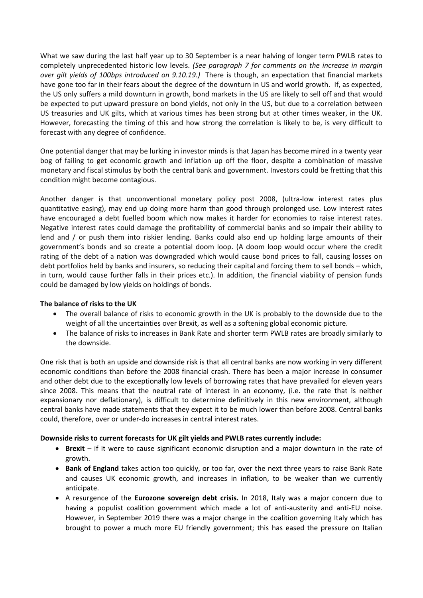What we saw during the last half year up to 30 September is a near halving of longer term PWLB rates to completely unprecedented historic low levels. *(See paragraph 7 for comments on the increase in margin over gilt yields of 100bps introduced on 9.10.19.)* There is though, an expectation that financial markets have gone too far in their fears about the degree of the downturn in US and world growth. If, as expected, the US only suffers a mild downturn in growth, bond markets in the US are likely to sell off and that would be expected to put upward pressure on bond yields, not only in the US, but due to a correlation between US treasuries and UK gilts, which at various times has been strong but at other times weaker, in the UK. However, forecasting the timing of this and how strong the correlation is likely to be, is very difficult to forecast with any degree of confidence.

One potential danger that may be lurking in investor minds is that Japan has become mired in a twenty year bog of failing to get economic growth and inflation up off the floor, despite a combination of massive monetary and fiscal stimulus by both the central bank and government. Investors could be fretting that this condition might become contagious.

Another danger is that unconventional monetary policy post 2008, (ultra-low interest rates plus quantitative easing), may end up doing more harm than good through prolonged use. Low interest rates have encouraged a debt fuelled boom which now makes it harder for economies to raise interest rates. Negative interest rates could damage the profitability of commercial banks and so impair their ability to lend and / or push them into riskier lending. Banks could also end up holding large amounts of their government's bonds and so create a potential doom loop. (A doom loop would occur where the credit rating of the debt of a nation was downgraded which would cause bond prices to fall, causing losses on debt portfolios held by banks and insurers, so reducing their capital and forcing them to sell bonds – which, in turn, would cause further falls in their prices etc.). In addition, the financial viability of pension funds could be damaged by low yields on holdings of bonds.

#### **The balance of risks to the UK**

- The overall balance of risks to economic growth in the UK is probably to the downside due to the weight of all the uncertainties over Brexit, as well as a softening global economic picture.
- The balance of risks to increases in Bank Rate and shorter term PWLB rates are broadly similarly to the downside.

One risk that is both an upside and downside risk is that all central banks are now working in very different economic conditions than before the 2008 financial crash. There has been a major increase in consumer and other debt due to the exceptionally low levels of borrowing rates that have prevailed for eleven years since 2008. This means that the neutral rate of interest in an economy, (i.e. the rate that is neither expansionary nor deflationary), is difficult to determine definitively in this new environment, although central banks have made statements that they expect it to be much lower than before 2008. Central banks could, therefore, over or under-do increases in central interest rates.

#### **Downside risks to current forecasts for UK gilt yields and PWLB rates currently include:**

- **Brexit**  if it were to cause significant economic disruption and a major downturn in the rate of growth.
- **Bank of England** takes action too quickly, or too far, over the next three years to raise Bank Rate and causes UK economic growth, and increases in inflation, to be weaker than we currently anticipate.
- A resurgence of the **Eurozone sovereign debt crisis.** In 2018, Italy was a major concern due to having a populist coalition government which made a lot of anti-austerity and anti-EU noise. However, in September 2019 there was a major change in the coalition governing Italy which has brought to power a much more EU friendly government; this has eased the pressure on Italian